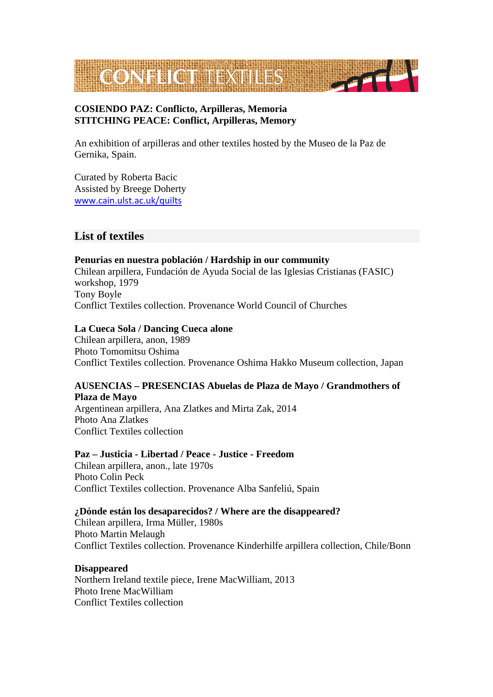

## **COSIENDO PAZ: Conflicto, Arpilleras, Memoria STITCHING PEACE: Conflict, Arpilleras, Memory**

An exhibition of arpilleras and other textiles hosted by the Museo de la Paz de Gernika, Spain.

Curated by Roberta Bacic Assisted by Breege Doherty [www.cain.ulst.ac.uk/quilts](http://www.cain.ulst.ac.uk/quilts)

# **List of textiles**

# **Penurias en nuestra población / Hardship in our community**  Chilean arpillera, Fundación de Ayuda Social de las Iglesias Cristianas (FASIC) workshop, 1979 Tony Boyle

Conflict Textiles collection. Provenance World Council of Churches

## **La Cueca Sola / Dancing Cueca alone**

Chilean arpillera, anon, 1989 Photo Tomomitsu Oshima Conflict Textiles collection. Provenance Oshima Hakko Museum collection, Japan

## **AUSENCIAS – PRESENCIAS Abuelas de Plaza de Mayo / Grandmothers of Plaza de Mayo**

Argentinean arpillera, Ana Zlatkes and Mirta Zak, 2014 Photo Ana Zlatkes Conflict Textiles collection

## **Paz – Justicia - Libertad / Peace - Justice - Freedom**

Chilean arpillera, anon., late 1970s Photo Colin Peck Conflict Textiles collection. Provenance Alba Sanfeliú, Spain

## **¿Dónde están los desaparecidos? / Where are the disappeared?**

Chilean arpillera, Irma Müller, 1980s Photo Martin Melaugh Conflict Textiles collection. Provenance Kinderhilfe arpillera collection, Chile/Bonn

## **Disappeared**

Northern Ireland textile piece, Irene MacWilliam, 2013 Photo Irene MacWilliam Conflict Textiles collection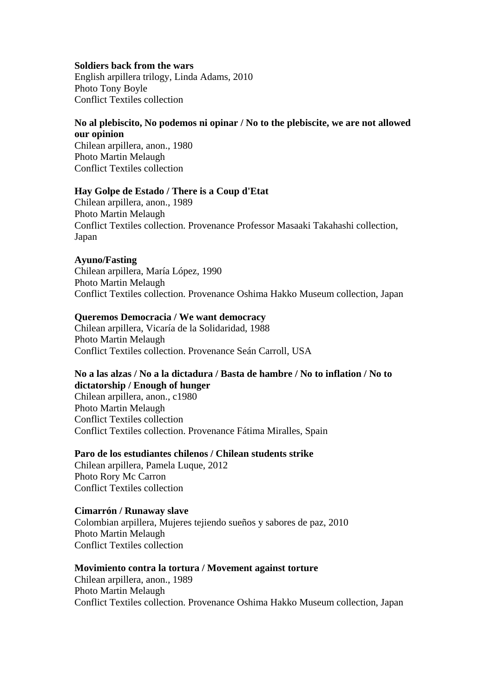#### **Soldiers back from the wars**

English arpillera trilogy, Linda Adams, 2010 Photo Tony Boyle Conflict Textiles collection

## **No al plebiscito, No podemos ni opinar / No to the plebiscite, we are not allowed our opinion**

Chilean arpillera, anon., 1980 Photo Martin Melaugh Conflict Textiles collection

#### **Hay Golpe de Estado / There is a Coup d'Etat**

Chilean arpillera, anon., 1989 Photo Martin Melaugh Conflict Textiles collection. Provenance Professor Masaaki Takahashi collection, Japan

## **Ayuno/Fasting**

Chilean arpillera, María López, 1990 Photo Martin Melaugh Conflict Textiles collection. Provenance Oshima Hakko Museum collection, Japan

#### **Queremos Democracia / We want democracy**

Chilean arpillera, Vicaría de la Solidaridad, 1988 Photo Martin Melaugh Conflict Textiles collection. Provenance Seán Carroll, USA

#### **No a las alzas / No a la dictadura / Basta de hambre / No to inflation / No to dictatorship / Enough of hunger**

Chilean arpillera, anon., c1980 Photo Martin Melaugh Conflict Textiles collection Conflict Textiles collection. Provenance Fátima Miralles, Spain

# **Paro de los estudiantes chilenos / Chilean students strike**

Chilean arpillera, Pamela Luque, 2012 Photo Rory Mc Carron Conflict Textiles collection

## **Cimarrón / Runaway slave**

Colombian arpillera, Mujeres tejiendo sueños y sabores de paz, 2010 Photo Martin Melaugh Conflict Textiles collection

## **Movimiento contra la tortura / Movement against torture**

Chilean arpillera, anon., 1989 Photo Martin Melaugh Conflict Textiles collection. Provenance Oshima Hakko Museum collection, Japan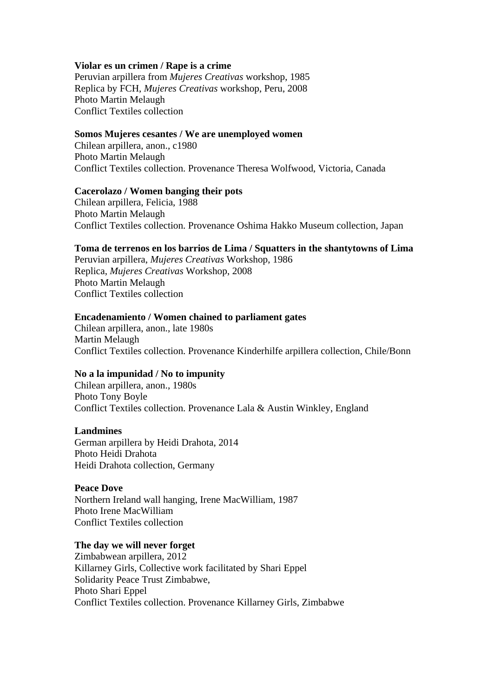#### **Violar es un crimen / Rape is a crime**

Peruvian arpillera from *Mujeres Creativas* workshop, 1985 Replica by FCH, *Mujeres Creativas* workshop, Peru, 2008 Photo Martin Melaugh Conflict Textiles collection

#### **Somos Mujeres cesantes / We are unemployed women**

Chilean arpillera, anon., c1980 Photo Martin Melaugh Conflict Textiles collection. Provenance Theresa Wolfwood, Victoria, Canada

#### **Cacerolazo / Women banging their pots**

Chilean arpillera, Felicia, 1988 Photo Martin Melaugh Conflict Textiles collection. Provenance Oshima Hakko Museum collection, Japan

#### **Toma de terrenos en los barrios de Lima / Squatters in the shantytowns of Lima**

Peruvian arpillera, *Mujeres Creativas* Workshop, 1986 Replica, *Mujeres Creativas* Workshop, 2008 Photo Martin Melaugh Conflict Textiles collection

#### **Encadenamiento / Women chained to parliament gates**

Chilean arpillera, anon., late 1980s Martin Melaugh Conflict Textiles collection. Provenance Kinderhilfe arpillera collection, Chile/Bonn

## **No a la impunidad / No to impunity**

Chilean arpillera, anon., 1980s Photo Tony Boyle Conflict Textiles collection. Provenance Lala & Austin Winkley, England

#### **Landmines**

German arpillera by Heidi Drahota, 2014 Photo Heidi Drahota Heidi Drahota collection, Germany

#### **Peace Dove**

Northern Ireland wall hanging, Irene MacWilliam, 1987 Photo Irene MacWilliam Conflict Textiles collection

#### **The day we will never forget**

Zimbabwean arpillera, 2012 Killarney Girls, Collective work facilitated by Shari Eppel Solidarity Peace Trust Zimbabwe, Photo Shari Eppel Conflict Textiles collection. Provenance Killarney Girls, Zimbabwe